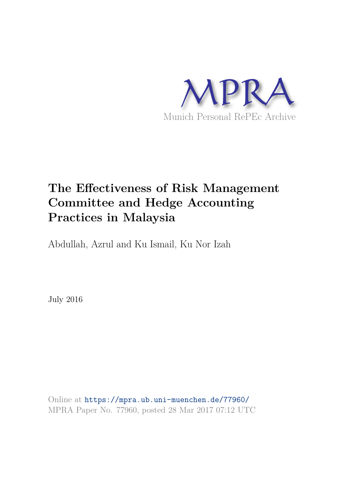

# **The Effectiveness of Risk Management Committee and Hedge Accounting Practices in Malaysia**

Abdullah, Azrul and Ku Ismail, Ku Nor Izah

July 2016

Online at https://mpra.ub.uni-muenchen.de/77960/ MPRA Paper No. 77960, posted 28 Mar 2017 07:12 UTC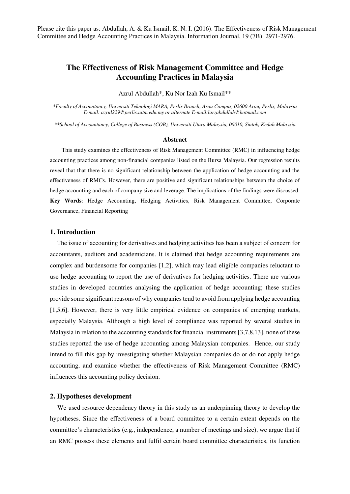Please cite this paper as: Abdullah, A. & Ku Ismail, K. N. I. (2016). The Effectiveness of Risk Management Committee and Hedge Accounting Practices in Malaysia. Information Journal, 19 (7B). 2971-2976.

## **The Effectiveness of Risk Management Committee and Hedge Accounting Practices in Malaysia**

Azrul Abdullah\*, Ku Nor Izah Ku Ismail\*\*

*\*Faculty of Accountancy, Universiti Teknologi MARA, Perlis Branch, Arau Campus, 02600 Arau, Perlis, Malaysia E-mail: azrul229@perlis.uitm.edu.my or alternate E-mail:lurzabdullah@hotmail.com* 

*\*\*School of Accountancy, College of Business (COB), Universiti Utara Malaysia, 06010, Sintok, Kedah Malaysia* 

#### **Abstract**

This study examines the effectiveness of Risk Management Committee (RMC) in influencing hedge accounting practices among non-financial companies listed on the Bursa Malaysia. Our regression results reveal that that there is no significant relationship between the application of hedge accounting and the effectiveness of RMCs. However, there are positive and significant relationships between the choice of hedge accounting and each of company size and leverage. The implications of the findings were discussed. **Key Words**: Hedge Accounting, Hedging Activities, Risk Management Committee, Corporate Governance, Financial Reporting

#### **1. Introduction**

 The issue of accounting for derivatives and hedging activities has been a subject of concern for accountants, auditors and academicians. It is claimed that hedge accounting requirements are complex and burdensome for companies [1,2], which may lead eligible companies reluctant to use hedge accounting to report the use of derivatives for hedging activities. There are various studies in developed countries analysing the application of hedge accounting; these studies provide some significant reasons of why companies tend to avoid from applying hedge accounting [1,5,6]. However, there is very little empirical evidence on companies of emerging markets, especially Malaysia. Although a high level of compliance was reported by several studies in Malaysia in relation to the accounting standards for financial instruments [3,7,8,13], none of these studies reported the use of hedge accounting among Malaysian companies. Hence, our study intend to fill this gap by investigating whether Malaysian companies do or do not apply hedge accounting, and examine whether the effectiveness of Risk Management Committee (RMC) influences this accounting policy decision.

#### **2. Hypotheses development**

 We used resource dependency theory in this study as an underpinning theory to develop the hypotheses. Since the effectiveness of a board committee to a certain extent depends on the committee's characteristics (e.g., independence, a number of meetings and size), we argue that if an RMC possess these elements and fulfil certain board committee characteristics, its function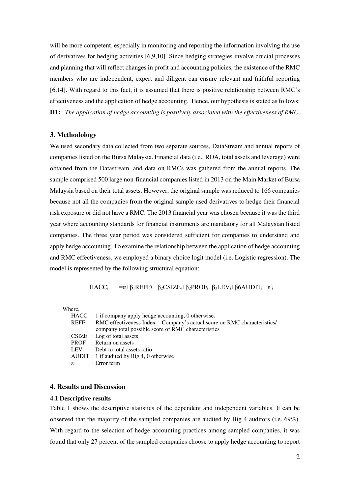will be more competent, especially in monitoring and reporting the information involving the use of derivatives for hedging activities [6,9,10]. Since hedging strategies involve crucial processes and planning that will reflect changes in profit and accounting policies, the existence of the RMC members who are independent, expert and diligent can ensure relevant and faithful reporting [6,14]. With regard to this fact, it is assumed that there is positive relationship between RMC's effectiveness and the application of hedge accounting. Hence, our hypothesis is stated as follows: **H1:** *The application of hedge accounting is positively associated with the effectiveness of RMC.* 

#### **3. Methodology**

We used secondary data collected from two separate sources, DataStream and annual reports of companies listed on the Bursa Malaysia. Financial data (i.e., ROA, total assets and leverage) were obtained from the Datastream, and data on RMCs was gathered from the annual reports. The sample comprised 500 large non-financial companies listed in 2013 on the Main Market of Bursa Malaysia based on their total assets. However, the original sample was reduced to 166 companies because not all the companies from the original sample used derivatives to hedge their financial risk exposure or did not have a RMC. The 2013 financial year was chosen because it was the third year where accounting standards for financial instruments are mandatory for all Malaysian listed companies. The three year period was considered sufficient for companies to understand and apply hedge accounting. To examine the relationship between the application of hedge accounting and RMC effectiveness, we employed a binary choice logit model (i.e. Logistic regression). The model is represented by the following structural equation:

$$
HACC_i = \alpha + \beta_1 REFFi + \beta_2CSIZE_i + \beta_2 PROF_i + \beta_3LEV_i + \beta 6AUDIT_i + \epsilon_i
$$

Where,

| $HACC$ : 1 if company apply hedge accounting, 0 otherwise.                      |
|---------------------------------------------------------------------------------|
| REFF : RMC effectiveness Index = Company's actual score on RMC characteristics/ |
| company total possible score of RMC characteristics                             |
| $CSIZE$ : Log of total assets                                                   |
| <b>PROF</b> : Return on assets                                                  |
| LEV : Debt to total assets ratio                                                |
| $AUDIT : 1$ if audited by Big 4, 0 otherwise                                    |
| ε : Error term                                                                  |
|                                                                                 |

#### **4. Results and Discussion**

#### **4.1 Descriptive results**

Table 1 shows the descriptive statistics of the dependent and independent variables. It can be observed that the majority of the sampled companies are audited by Big 4 auditors (i.e. 69%). With regard to the selection of hedge accounting practices among sampled companies, it was found that only 27 percent of the sampled companies choose to apply hedge accounting to report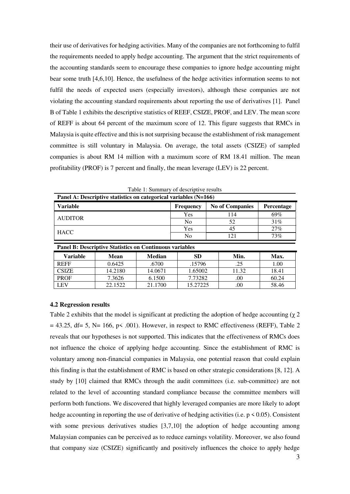their use of derivatives for hedging activities. Many of the companies are not forthcoming to fulfil the requirements needed to apply hedge accounting. The argument that the strict requirements of the accounting standards seem to encourage these companies to ignore hedge accounting might bear some truth [4,6,10]. Hence, the usefulness of the hedge activities information seems to not fulfil the needs of expected users (especially investors), although these companies are not violating the accounting standard requirements about reporting the use of derivatives [1]. Panel B of Table 1 exhibits the descriptive statistics of REEF, CSIZE, PROF, and LEV. The mean score of REFF is about 64 percent of the maximum score of 12. This figure suggests that RMCs in Malaysia is quite effective and this is not surprising because the establishment of risk management committee is still voluntary in Malaysia. On average, the total assets (CSIZE) of sampled companies is about RM 14 million with a maximum score of RM 18.41 million. The mean profitability (PROF) is 7 percent and finally, the mean leverage (LEV) is 22 percent.

| Panel A: Descriptive statistics on categorical variables (N=166) |      |               |                  |                        |            |  |  |  |  |  |
|------------------------------------------------------------------|------|---------------|------------------|------------------------|------------|--|--|--|--|--|
| <b>Variable</b>                                                  |      |               | <b>Frequency</b> | <b>No of Companies</b> | Percentage |  |  |  |  |  |
| <b>AUDITOR</b>                                                   |      |               | <b>Yes</b>       | 114                    | 69%        |  |  |  |  |  |
|                                                                  |      |               | N <sub>0</sub>   | 52                     | 31%        |  |  |  |  |  |
| <b>HACC</b>                                                      |      |               | Yes              | 45                     | $27\%$     |  |  |  |  |  |
|                                                                  |      |               | No               | 121                    | 73%        |  |  |  |  |  |
| <b>Panel B: Descriptive Statistics on Continuous variables</b>   |      |               |                  |                        |            |  |  |  |  |  |
| <b>Variable</b>                                                  | Mean | <b>Median</b> | SD               | Min.                   | Max.       |  |  |  |  |  |

REFF | 0.6425 | .6700 | .15796 | .25 | 1.00 CSIZE | 14.2180 | 14.0671 | 1.65002 | 11.32 | 18.41 PROF | 7.3626 | 6.1500 | 7.73282 | .00 | 60.24 LEV | 22.1522 | 21.1700 | 15.27225 | .00 | 58.46

Table 1: Summary of descriptive results

### **4.2 Regression results**

Table 2 exhibits that the model is significant at predicting the adoption of hedge accounting ( $\gamma$  2  $= 43.25$ , df= 5, N= 166, p< .001). However, in respect to RMC effectiveness (REFF), Table 2 reveals that our hypotheses is not supported. This indicates that the effectiveness of RMCs does not influence the choice of applying hedge accounting. Since the establishment of RMC is voluntary among non-financial companies in Malaysia, one potential reason that could explain this finding is that the establishment of RMC is based on other strategic considerations [8, 12]. A study by [10] claimed that RMCs through the audit committees (i.e. sub-committee) are not related to the level of accounting standard compliance because the committee members will perform both functions. We discovered that highly leveraged companies are more likely to adopt hedge accounting in reporting the use of derivative of hedging activities (i.e.  $p \le 0.05$ ). Consistent with some previous derivatives studies [3,7,10] the adoption of hedge accounting among Malaysian companies can be perceived as to reduce earnings volatility. Moreover, we also found that company size (CSIZE) significantly and positively influences the choice to apply hedge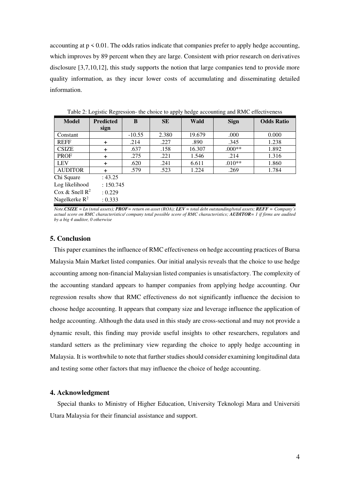accounting at  $p \leq 0.01$ . The odds ratios indicate that companies prefer to apply hedge accounting, which improves by 89 percent when they are large. Consistent with prior research on derivatives disclosure [3,7,10,12], this study supports the notion that large companies tend to provide more quality information, as they incur lower costs of accumulating and disseminating detailed information.

| <b>Model</b>                          | <b>Predicted</b> | B        | <b>SE</b> | Wald   | <b>Sign</b> | <b>Odds Ratio</b> |
|---------------------------------------|------------------|----------|-----------|--------|-------------|-------------------|
|                                       | sign             |          |           |        |             |                   |
| Constant                              |                  | $-10.55$ | 2.380     | 19.679 | .000        | 0.000             |
| <b>REFF</b>                           | $\ddot{}$        | .214     | .227      | .890   | .345        | 1.238             |
| <b>CSIZE</b>                          | +                | .637     | .158      | 16.307 | $.000**$    | 1.892             |
| <b>PROF</b>                           | +                | .275     | .221      | 1.546  | .214        | 1.316             |
| <b>LEV</b>                            | $\ddot{}$        | .620     | .241      | 6.611  | $.010**$    | 1.860             |
| <b>AUDITOR</b>                        | +                | .579     | .523      | 1.224  | .269        | 1.784             |
| Chi Square<br>: 43.25                 |                  |          |           |        |             |                   |
| Log likelihood<br>: 150.745           |                  |          |           |        |             |                   |
| Cox & Snell $\mathbb{R}^2$<br>: 0.229 |                  |          |           |        |             |                   |

Table 2: Logistic Regression- the choice to apply hedge accounting and RMC effectiveness

*Note.CSIZE = Ln (total assets); PROF= return on asset (ROA); LEV = total debt outstanding/total assets; REFF = Company's actual score on RMC characteristics/ company total possible score of RMC characteristics; AUDITOR= 1 if firms are audited by a big 4 auditor, 0 otherwise* 

#### **5. Conclusion**

Nagelkerke  $R^2$ 

: 0.333

This paper examines the influence of RMC effectiveness on hedge accounting practices of Bursa Malaysia Main Market listed companies. Our initial analysis reveals that the choice to use hedge accounting among non-financial Malaysian listed companies is unsatisfactory. The complexity of the accounting standard appears to hamper companies from applying hedge accounting. Our regression results show that RMC effectiveness do not significantly influence the decision to choose hedge accounting. It appears that company size and leverage influence the application of hedge accounting. Although the data used in this study are cross-sectional and may not provide a dynamic result, this finding may provide useful insights to other researchers, regulators and standard setters as the preliminary view regarding the choice to apply hedge accounting in Malaysia. It is worthwhile to note that further studies should consider examining longitudinal data and testing some other factors that may influence the choice of hedge accounting.

#### **4. Acknowledgment**

 Special thanks to Ministry of Higher Education, University Teknologi Mara and Universiti Utara Malaysia for their financial assistance and support.